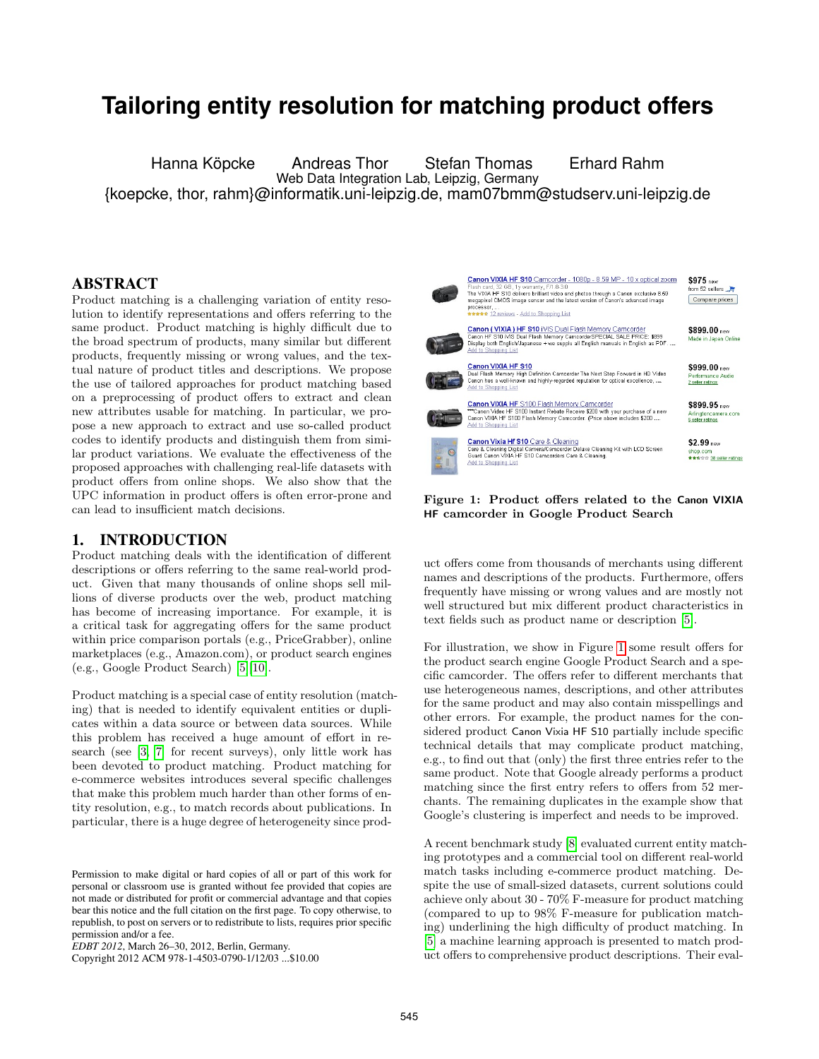# **Tailoring entity resolution for matching product offers**

Hanna Köpcke Andreas Thor Stefan Thomas Erhard Rahm Web Data Integration Lab, Leipzig, Germany {koepcke, thor, rahm}@informatik.uni-leipzig.de, mam07bmm@studserv.uni-leipzig.de

#### ABSTRACT

Product matching is a challenging variation of entity resolution to identify representations and offers referring to the same product. Product matching is highly difficult due to the broad spectrum of products, many similar but different products, frequently missing or wrong values, and the textual nature of product titles and descriptions. We propose the use of tailored approaches for product matching based on a preprocessing of product offers to extract and clean new attributes usable for matching. In particular, we propose a new approach to extract and use so-called product codes to identify products and distinguish them from similar product variations. We evaluate the effectiveness of the proposed approaches with challenging real-life datasets with product offers from online shops. We also show that the UPC information in product offers is often error-prone and can lead to insufficient match decisions.

#### 1. INTRODUCTION

Product matching deals with the identification of different descriptions or offers referring to the same real-world product. Given that many thousands of online shops sell millions of diverse products over the web, product matching has become of increasing importance. For example, it is a critical task for aggregating offers for the same product within price comparison portals (e.g., PriceGrabber), online marketplaces (e.g., Amazon.com), or product search engines (e.g., Google Product Search) [5][10].

Product matching is a special case of entity resolution (matching) that is needed to identify equivalent entities or duplicates within a data source or between data sources. While this problem has received a huge amount of effort in research (see [3, 7] for recent surveys), only little work has been devoted to product matching. Product matching for e-commerce websites introduces several specific challenges that make this problem much harder than other forms of entity resolution, e.g., to match records about publications. In particular, there is a huge degree of heterogeneity since prod-

Copyright 2012 ACM 978-1-4503-0790-1/12/03 ...\$10.00



Figure 1: Product offers related to the Canon VIXIA HF camcorder in Google Product Search

uct offers come from thousands of merchants using different names and descriptions of the products. Furthermore, offers frequently have missing or wrong values and are mostly not well structured but mix different product characteristics in text fields such as product name or description [5].

For illustration, we show in Figure 1 some result offers for the product search engine Google Product Search and a specific camcorder. The offers refer to different merchants that use heterogeneous names, descriptions, and other attributes for the same product and may also contain misspellings and other errors. For example, the product names for the considered product Canon Vixia HF S10 partially include specific technical details that may complicate product matching, e.g., to find out that (only) the first three entries refer to the same product. Note that Google already performs a product matching since the first entry refers to offers from 52 merchants. The remaining duplicates in the example show that Google's clustering is imperfect and needs to be improved.

A recent benchmark study [8] evaluated current entity matching prototypes and a commercial tool on different real-world match tasks including e-commerce product matching. Despite the use of small-sized datasets, current solutions could achieve only about 30 - 70% F-measure for product matching (compared to up to 98% F-measure for publication matching) underlining the high difficulty of product matching. In [5] a machine learning approach is presented to match product offers to comprehensive product descriptions. Their eval-

Permission to make digital or hard copies of all or part of this work for personal or classroom use is granted without fee provided that copies are not made or distributed for profit or commercial advantage and that copies bear this notice and the full citation on the first page. To copy otherwise, to republish, to post on servers or to redistribute to lists, requires prior specific permission and/or a fee.

*EDBT 2012*, March 26–30, 2012, Berlin, Germany.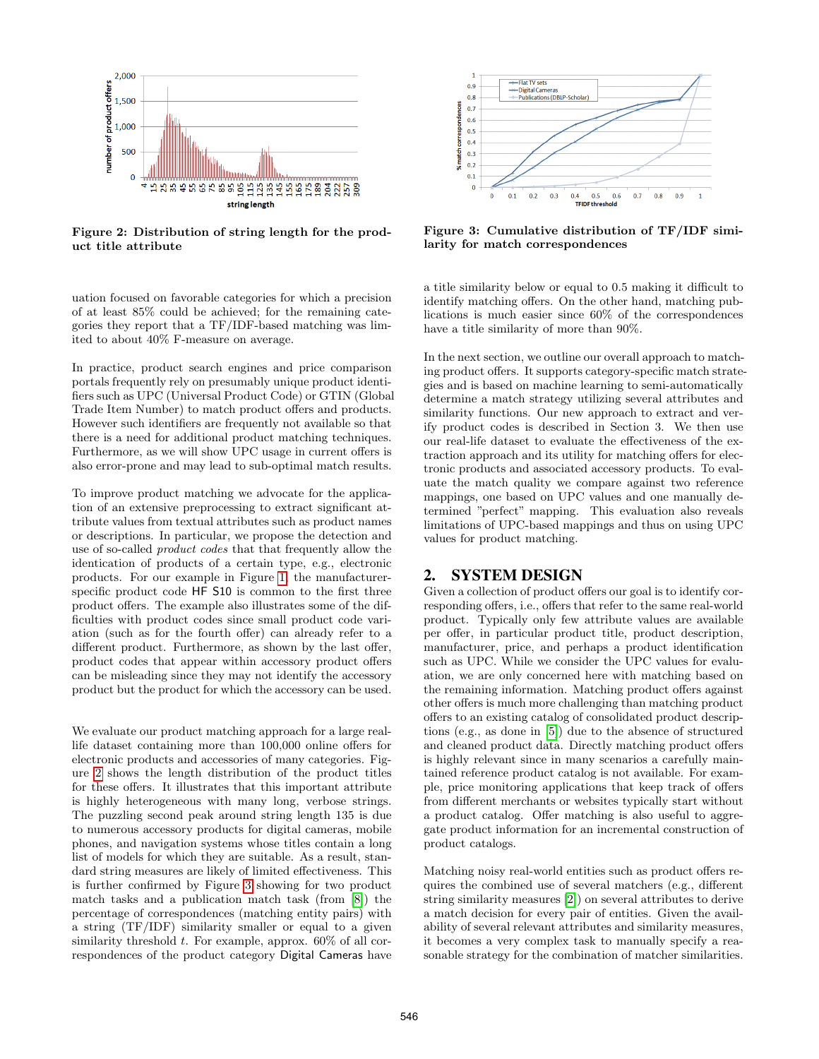

Figure 2: Distribution of string length for the product title attribute

uation focused on favorable categories for which a precision of at least 85% could be achieved; for the remaining categories they report that a TF/IDF-based matching was limited to about 40% F-measure on average.

In practice, product search engines and price comparison portals frequently rely on presumably unique product identifiers such as UPC (Universal Product Code) or GTIN (Global Trade Item Number) to match product offers and products. However such identifiers are frequently not available so that there is a need for additional product matching techniques. Furthermore, as we will show UPC usage in current offers is also error-prone and may lead to sub-optimal match results.

To improve product matching we advocate for the application of an extensive preprocessing to extract significant attribute values from textual attributes such as product names or descriptions. In particular, we propose the detection and use of so-called product codes that that frequently allow the identication of products of a certain type, e.g., electronic products. For our example in Figure 1, the manufacturerspecific product code HF S10 is common to the first three product offers. The example also illustrates some of the difficulties with product codes since small product code variation (such as for the fourth offer) can already refer to a different product. Furthermore, as shown by the last offer, product codes that appear within accessory product offers can be misleading since they may not identify the accessory product but the product for which the accessory can be used.

We evaluate our product matching approach for a large reallife dataset containing more than 100,000 online offers for electronic products and accessories of many categories. Figure 2 shows the length distribution of the product titles for these offers. It illustrates that this important attribute is highly heterogeneous with many long, verbose strings. The puzzling second peak around string length 135 is due to numerous accessory products for digital cameras, mobile phones, and navigation systems whose titles contain a long list of models for which they are suitable. As a result, standard string measures are likely of limited effectiveness. This is further confirmed by Figure 3 showing for two product match tasks and a publication match task (from [8]) the percentage of correspondences (matching entity pairs) with a string (TF/IDF) similarity smaller or equal to a given similarity threshold  $t$ . For example, approx.  $60\%$  of all correspondences of the product category Digital Cameras have



Figure 3: Cumulative distribution of TF/IDF similarity for match correspondences

a title similarity below or equal to 0.5 making it difficult to identify matching offers. On the other hand, matching publications is much easier since 60% of the correspondences have a title similarity of more than 90%.

In the next section, we outline our overall approach to matching product offers. It supports category-specific match strategies and is based on machine learning to semi-automatically determine a match strategy utilizing several attributes and similarity functions. Our new approach to extract and verify product codes is described in Section 3. We then use our real-life dataset to evaluate the effectiveness of the extraction approach and its utility for matching offers for electronic products and associated accessory products. To evaluate the match quality we compare against two reference mappings, one based on UPC values and one manually determined "perfect" mapping. This evaluation also reveals limitations of UPC-based mappings and thus on using UPC values for product matching.

#### 2. SYSTEM DESIGN

Given a collection of product offers our goal is to identify corresponding offers, i.e., offers that refer to the same real-world product. Typically only few attribute values are available per offer, in particular product title, product description, manufacturer, price, and perhaps a product identification such as UPC. While we consider the UPC values for evaluation, we are only concerned here with matching based on the remaining information. Matching product offers against other offers is much more challenging than matching product offers to an existing catalog of consolidated product descriptions (e.g., as done in [5]) due to the absence of structured and cleaned product data. Directly matching product offers is highly relevant since in many scenarios a carefully maintained reference product catalog is not available. For example, price monitoring applications that keep track of offers from different merchants or websites typically start without a product catalog. Offer matching is also useful to aggregate product information for an incremental construction of product catalogs.

Matching noisy real-world entities such as product offers requires the combined use of several matchers (e.g., different string similarity measures [2]) on several attributes to derive a match decision for every pair of entities. Given the availability of several relevant attributes and similarity measures, it becomes a very complex task to manually specify a reasonable strategy for the combination of matcher similarities.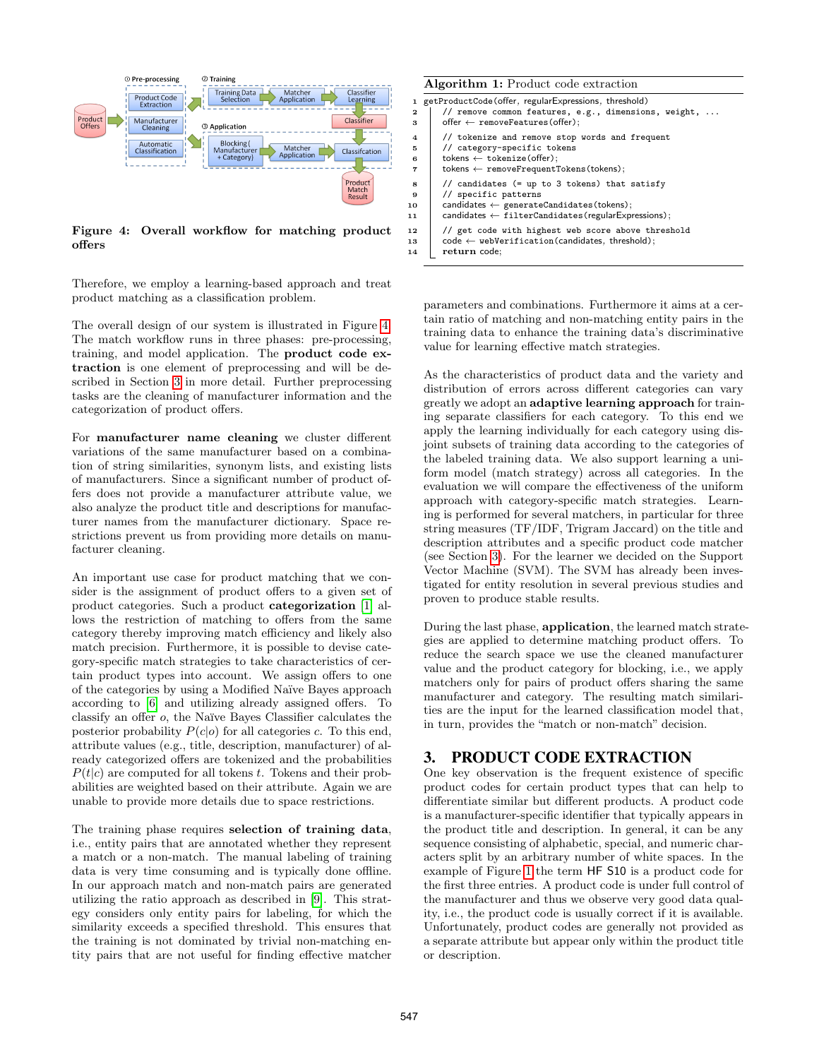

Figure 4: Overall workflow for matching product offers

Therefore, we employ a learning-based approach and treat product matching as a classification problem.

The overall design of our system is illustrated in Figure 4. The match workflow runs in three phases: pre-processing, training, and model application. The product code extraction is one element of preprocessing and will be described in Section 3 in more detail. Further preprocessing tasks are the cleaning of manufacturer information and the categorization of product offers.

For manufacturer name cleaning we cluster different variations of the same manufacturer based on a combination of string similarities, synonym lists, and existing lists of manufacturers. Since a significant number of product offers does not provide a manufacturer attribute value, we also analyze the product title and descriptions for manufacturer names from the manufacturer dictionary. Space restrictions prevent us from providing more details on manufacturer cleaning.

An important use case for product matching that we consider is the assignment of product offers to a given set of product categories. Such a product categorization [1] allows the restriction of matching to offers from the same category thereby improving match efficiency and likely also match precision. Furthermore, it is possible to devise category-specific match strategies to take characteristics of certain product types into account. We assign offers to one of the categories by using a Modified Na¨ıve Bayes approach according to [6] and utilizing already assigned offers. To classify an offer *o*, the Naïve Bayes Classifier calculates the posterior probability  $P(c|o)$  for all categories c. To this end, attribute values (e.g., title, description, manufacturer) of already categorized offers are tokenized and the probabilities  $P(t|c)$  are computed for all tokens t. Tokens and their probabilities are weighted based on their attribute. Again we are unable to provide more details due to space restrictions.

The training phase requires selection of training data, i.e., entity pairs that are annotated whether they represent a match or a non-match. The manual labeling of training data is very time consuming and is typically done offline. In our approach match and non-match pairs are generated utilizing the ratio approach as described in [9]. This strategy considers only entity pairs for labeling, for which the similarity exceeds a specified threshold. This ensures that the training is not dominated by trivial non-matching entity pairs that are not useful for finding effective matcher

|                         | <b>Algorithm 1:</b> Product code extraction                   |  |  |  |  |  |  |
|-------------------------|---------------------------------------------------------------|--|--|--|--|--|--|
| $\mathbf{1}$            | getProductCode(offer, regularExpressions, threshold)          |  |  |  |  |  |  |
| $\mathbf{2}$            | // remove common features, e.g., dimensions, weight,          |  |  |  |  |  |  |
| 3                       | offer $\leftarrow$ removeFeatures (offer);                    |  |  |  |  |  |  |
| $\overline{a}$          | // tokenize and remove stop words and frequent                |  |  |  |  |  |  |
| 5                       | // category-specific tokens                                   |  |  |  |  |  |  |
| 6                       | $tokens \leftarrow tokenize(offer);$                          |  |  |  |  |  |  |
| $\overline{\mathbf{r}}$ | $tokens \leftarrow removeFrequencyContextOkens(tokens);$      |  |  |  |  |  |  |
| 8                       | // candidates (= up to 3 tokens) that satisfy                 |  |  |  |  |  |  |
| 9                       | // specific patterns                                          |  |  |  |  |  |  |
| 10                      | candidates $\leftarrow$ generateCandidates(tokens);           |  |  |  |  |  |  |
| 11                      | $candidates \leftarrow filterCandidates(regularExpressions);$ |  |  |  |  |  |  |
| 12                      | // get code with highest web score above threshold            |  |  |  |  |  |  |
| 13                      | $code \leftarrow webVerification(candiates, threshold);$      |  |  |  |  |  |  |
| 14                      | return code:                                                  |  |  |  |  |  |  |

parameters and combinations. Furthermore it aims at a certain ratio of matching and non-matching entity pairs in the training data to enhance the training data's discriminative value for learning effective match strategies.

As the characteristics of product data and the variety and distribution of errors across different categories can vary greatly we adopt an adaptive learning approach for training separate classifiers for each category. To this end we apply the learning individually for each category using disjoint subsets of training data according to the categories of the labeled training data. We also support learning a uniform model (match strategy) across all categories. In the evaluation we will compare the effectiveness of the uniform approach with category-specific match strategies. Learning is performed for several matchers, in particular for three string measures (TF/IDF, Trigram Jaccard) on the title and description attributes and a specific product code matcher (see Section 3). For the learner we decided on the Support Vector Machine (SVM). The SVM has already been investigated for entity resolution in several previous studies and proven to produce stable results.

During the last phase, application, the learned match strategies are applied to determine matching product offers. To reduce the search space we use the cleaned manufacturer value and the product category for blocking, i.e., we apply matchers only for pairs of product offers sharing the same manufacturer and category. The resulting match similarities are the input for the learned classification model that, in turn, provides the "match or non-match" decision.

# 3. PRODUCT CODE EXTRACTION

One key observation is the frequent existence of specific product codes for certain product types that can help to differentiate similar but different products. A product code is a manufacturer-specific identifier that typically appears in the product title and description. In general, it can be any sequence consisting of alphabetic, special, and numeric characters split by an arbitrary number of white spaces. In the example of Figure 1 the term HF S10 is a product code for the first three entries. A product code is under full control of the manufacturer and thus we observe very good data quality, i.e., the product code is usually correct if it is available. Unfortunately, product codes are generally not provided as a separate attribute but appear only within the product title or description.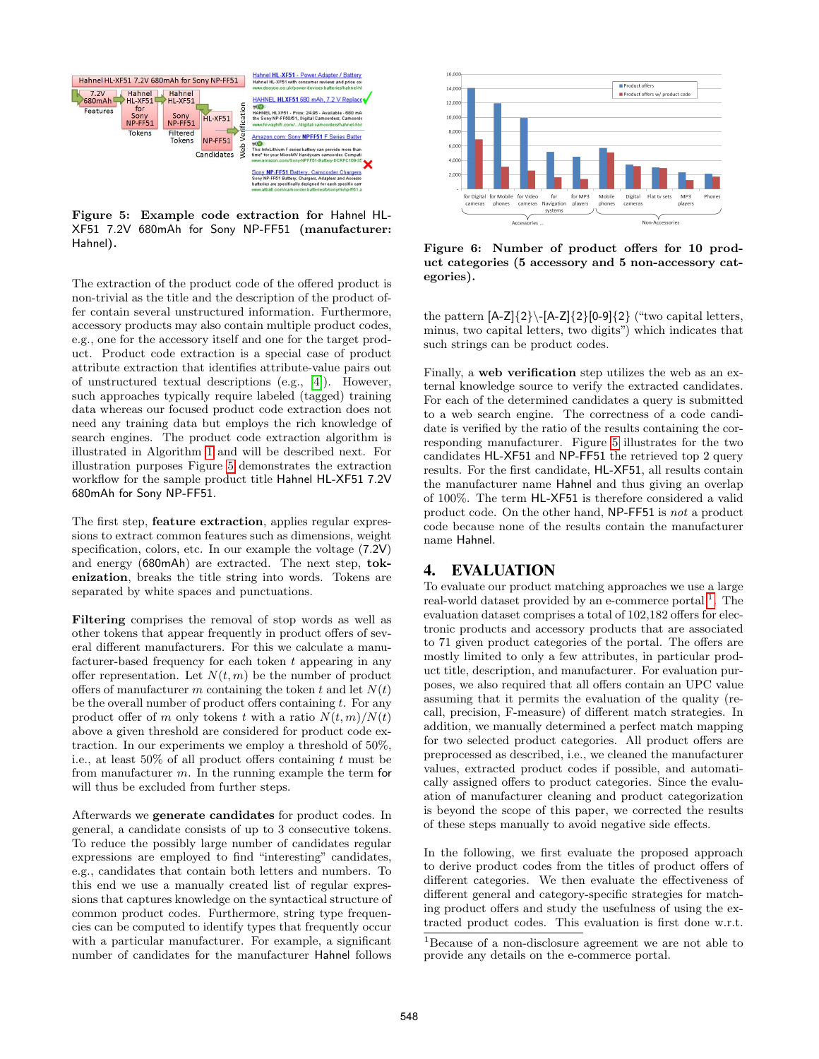

Figure 5: Example code extraction for Hahnel HL-XF51 7.2V 680mAh for Sony NP-FF51 (manufacturer: Hahnel).

The extraction of the product code of the offered product is non-trivial as the title and the description of the product offer contain several unstructured information. Furthermore, accessory products may also contain multiple product codes, e.g., one for the accessory itself and one for the target product. Product code extraction is a special case of product attribute extraction that identifies attribute-value pairs out of unstructured textual descriptions (e.g., [4]). However, such approaches typically require labeled (tagged) training data whereas our focused product code extraction does not need any training data but employs the rich knowledge of search engines. The product code extraction algorithm is illustrated in Algorithm 1 and will be described next. For illustration purposes Figure 5 demonstrates the extraction workflow for the sample product title Hahnel HL-XF51 7.2V 680mAh for Sony NP-FF51.

The first step, feature extraction, applies regular expressions to extract common features such as dimensions, weight specification, colors, etc. In our example the voltage (7.2V) and energy (680mAh) are extracted. The next step, tokenization, breaks the title string into words. Tokens are separated by white spaces and punctuations.

Filtering comprises the removal of stop words as well as other tokens that appear frequently in product offers of several different manufacturers. For this we calculate a manufacturer-based frequency for each token  $t$  appearing in any offer representation. Let  $N(t, m)$  be the number of product offers of manufacturer m containing the token t and let  $N(t)$ be the overall number of product offers containing  $t$ . For any product offer of m only tokens t with a ratio  $N(t, m)/N(t)$ above a given threshold are considered for product code extraction. In our experiments we employ a threshold of 50%, i.e., at least  $50\%$  of all product offers containing t must be from manufacturer  $m$ . In the running example the term for will thus be excluded from further steps.

Afterwards we generate candidates for product codes. In general, a candidate consists of up to 3 consecutive tokens. To reduce the possibly large number of candidates regular expressions are employed to find "interesting" candidates, e.g., candidates that contain both letters and numbers. To this end we use a manually created list of regular expressions that captures knowledge on the syntactical structure of common product codes. Furthermore, string type frequencies can be computed to identify types that frequently occur with a particular manufacturer. For example, a significant number of candidates for the manufacturer Hahnel follows



Figure 6: Number of product offers for 10 product categories (5 accessory and 5 non-accessory categories).

the pattern  $[A-Z]\{2\}\$ [0-9] $\{2\}$  ("two capital letters, minus, two capital letters, two digits") which indicates that such strings can be product codes.

Finally, a web verification step utilizes the web as an external knowledge source to verify the extracted candidates. For each of the determined candidates a query is submitted to a web search engine. The correctness of a code candidate is verified by the ratio of the results containing the corresponding manufacturer. Figure 5 illustrates for the two candidates HL-XF51 and NP-FF51 the retrieved top 2 query results. For the first candidate, HL-XF51, all results contain the manufacturer name Hahnel and thus giving an overlap of 100%. The term HL-XF51 is therefore considered a valid product code. On the other hand, NP-FF51 is not a product code because none of the results contain the manufacturer name Hahnel.

# 4. EVALUATION

To evaluate our product matching approaches we use a large real-world dataset provided by an e-commerce portal <sup>1</sup>. The evaluation dataset comprises a total of 102,182 offers for electronic products and accessory products that are associated to 71 given product categories of the portal. The offers are mostly limited to only a few attributes, in particular product title, description, and manufacturer. For evaluation purposes, we also required that all offers contain an UPC value assuming that it permits the evaluation of the quality (recall, precision, F-measure) of different match strategies. In addition, we manually determined a perfect match mapping for two selected product categories. All product offers are preprocessed as described, i.e., we cleaned the manufacturer values, extracted product codes if possible, and automatically assigned offers to product categories. Since the evaluation of manufacturer cleaning and product categorization is beyond the scope of this paper, we corrected the results of these steps manually to avoid negative side effects.

In the following, we first evaluate the proposed approach to derive product codes from the titles of product offers of different categories. We then evaluate the effectiveness of different general and category-specific strategies for matching product offers and study the usefulness of using the extracted product codes. This evaluation is first done w.r.t.

<sup>1</sup>Because of a non-disclosure agreement we are not able to provide any details on the e-commerce portal.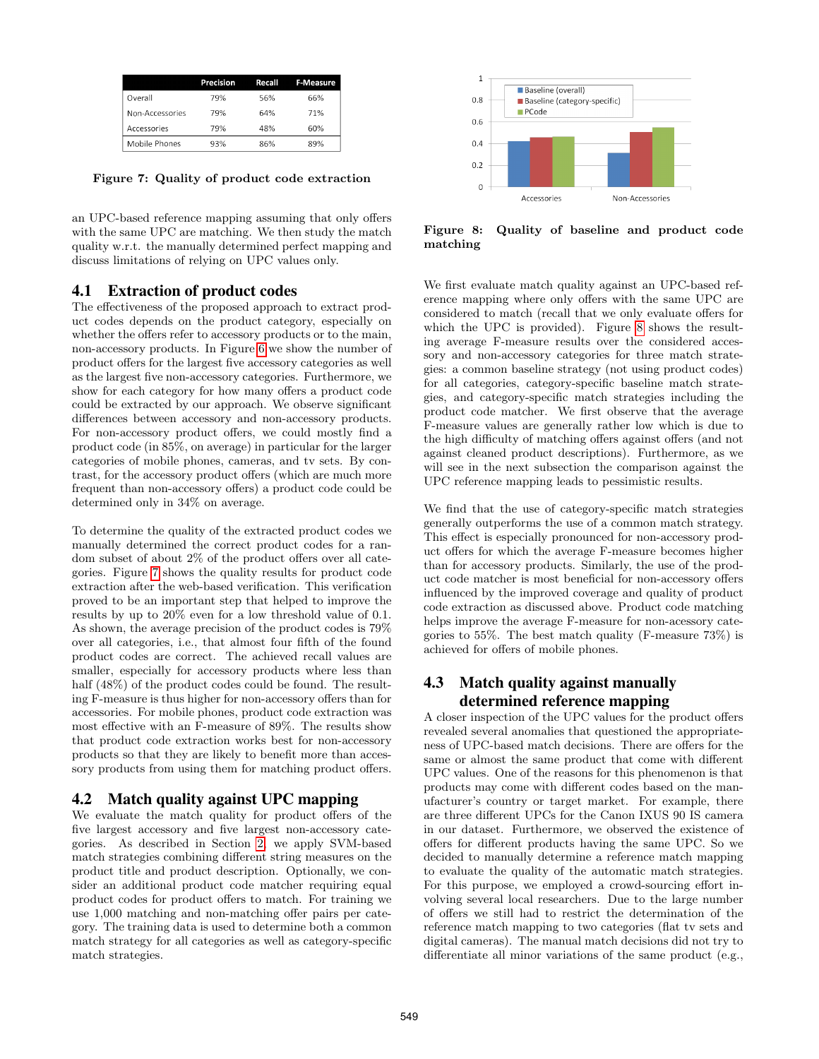|                 | Precision | Recall | <b>F-Measure</b> |
|-----------------|-----------|--------|------------------|
| Overall         | 79%       | 56%    | 66%              |
| Non-Accessories | 79%       | 64%    | 71%              |
| Accessories     | 79%       | 48%    | 60%              |
| Mobile Phones   | 93%       | 86%    | 89%              |

Figure 7: Quality of product code extraction

an UPC-based reference mapping assuming that only offers with the same UPC are matching. We then study the match quality w.r.t. the manually determined perfect mapping and discuss limitations of relying on UPC values only.

# 4.1 Extraction of product codes

The effectiveness of the proposed approach to extract product codes depends on the product category, especially on whether the offers refer to accessory products or to the main, non-accessory products. In Figure 6 we show the number of product offers for the largest five accessory categories as well as the largest five non-accessory categories. Furthermore, we show for each category for how many offers a product code could be extracted by our approach. We observe significant differences between accessory and non-accessory products. For non-accessory product offers, we could mostly find a product code (in 85%, on average) in particular for the larger categories of mobile phones, cameras, and tv sets. By contrast, for the accessory product offers (which are much more frequent than non-accessory offers) a product code could be determined only in 34% on average.

To determine the quality of the extracted product codes we manually determined the correct product codes for a random subset of about 2% of the product offers over all categories. Figure 7 shows the quality results for product code extraction after the web-based verification. This verification proved to be an important step that helped to improve the results by up to 20% even for a low threshold value of 0.1. As shown, the average precision of the product codes is 79% over all categories, i.e., that almost four fifth of the found product codes are correct. The achieved recall values are smaller, especially for accessory products where less than half  $(48\%)$  of the product codes could be found. The resulting F-measure is thus higher for non-accessory offers than for accessories. For mobile phones, product code extraction was most effective with an F-measure of 89%. The results show that product code extraction works best for non-accessory products so that they are likely to benefit more than accessory products from using them for matching product offers.

### 4.2 Match quality against UPC mapping

We evaluate the match quality for product offers of the five largest accessory and five largest non-accessory categories. As described in Section 2, we apply SVM-based match strategies combining different string measures on the product title and product description. Optionally, we consider an additional product code matcher requiring equal product codes for product offers to match. For training we use 1,000 matching and non-matching offer pairs per category. The training data is used to determine both a common match strategy for all categories as well as category-specific match strategies.



Figure 8: Quality of baseline and product code matching

We first evaluate match quality against an UPC-based reference mapping where only offers with the same UPC are considered to match (recall that we only evaluate offers for which the UPC is provided). Figure 8 shows the resulting average F-measure results over the considered accessory and non-accessory categories for three match strategies: a common baseline strategy (not using product codes) for all categories, category-specific baseline match strategies, and category-specific match strategies including the product code matcher. We first observe that the average F-measure values are generally rather low which is due to the high difficulty of matching offers against offers (and not against cleaned product descriptions). Furthermore, as we will see in the next subsection the comparison against the UPC reference mapping leads to pessimistic results.

We find that the use of category-specific match strategies generally outperforms the use of a common match strategy. This effect is especially pronounced for non-accessory product offers for which the average F-measure becomes higher than for accessory products. Similarly, the use of the product code matcher is most beneficial for non-accessory offers influenced by the improved coverage and quality of product code extraction as discussed above. Product code matching helps improve the average F-measure for non-acessory categories to 55%. The best match quality (F-measure 73%) is achieved for offers of mobile phones.

# 4.3 Match quality against manually determined reference mapping

A closer inspection of the UPC values for the product offers revealed several anomalies that questioned the appropriateness of UPC-based match decisions. There are offers for the same or almost the same product that come with different UPC values. One of the reasons for this phenomenon is that products may come with different codes based on the manufacturer's country or target market. For example, there are three different UPCs for the Canon IXUS 90 IS camera in our dataset. Furthermore, we observed the existence of offers for different products having the same UPC. So we decided to manually determine a reference match mapping to evaluate the quality of the automatic match strategies. For this purpose, we employed a crowd-sourcing effort involving several local researchers. Due to the large number of offers we still had to restrict the determination of the reference match mapping to two categories (flat tv sets and digital cameras). The manual match decisions did not try to differentiate all minor variations of the same product (e.g.,